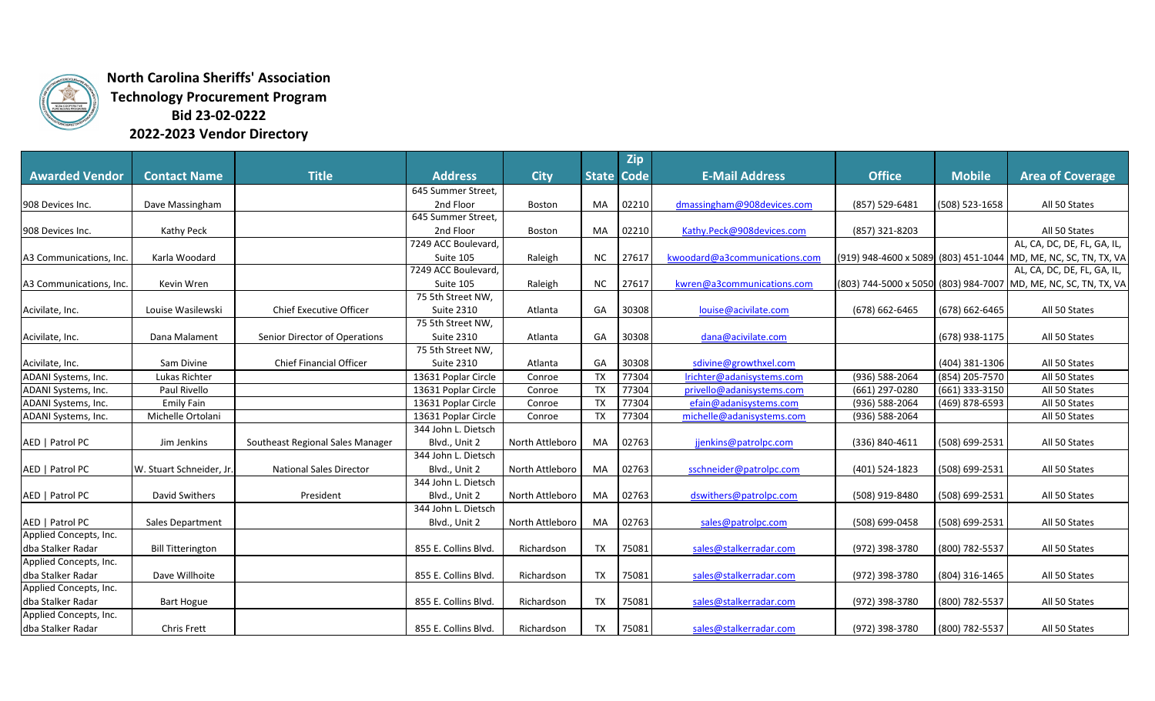

**North Carolina Sheriffs' Association Technology Procurement Program Bid 23-02-0222**

**2022-2023 Vendor Directory**

|                         |                          |                                  |                      |                 |                   | <b>Zip</b> |                               |                    |                |                                                                 |
|-------------------------|--------------------------|----------------------------------|----------------------|-----------------|-------------------|------------|-------------------------------|--------------------|----------------|-----------------------------------------------------------------|
| <b>Awarded Vendor</b>   | <b>Contact Name</b>      | <b>Title</b>                     | <b>Address</b>       | <b>City</b>     | <b>State Code</b> |            | <b>E-Mail Address</b>         | <b>Office</b>      | <b>Mobile</b>  | <b>Area of Coverage</b>                                         |
|                         |                          |                                  | 645 Summer Street,   |                 |                   |            |                               |                    |                |                                                                 |
| 908 Devices Inc.        | Dave Massingham          |                                  | 2nd Floor            | Boston          | MA                | 02210      | dmassingham@908devices.com    | (857) 529-6481     | (508) 523-1658 | All 50 States                                                   |
|                         |                          |                                  | 645 Summer Street,   |                 |                   |            |                               |                    |                |                                                                 |
| 908 Devices Inc.        | Kathy Peck               |                                  | 2nd Floor            | Boston          | MA                | 02210      | Kathy.Peck@908devices.com     | (857) 321-8203     |                | All 50 States                                                   |
|                         |                          |                                  | 7249 ACC Boulevard,  |                 |                   |            |                               |                    |                | AL, CA, DC, DE, FL, GA, IL,                                     |
| A3 Communications, Inc. | Karla Woodard            |                                  | Suite 105            | Raleigh         | NC.               | 27617      | kwoodard@a3communications.com |                    |                | (919) 948-4600 x 5089 (803) 451-1044 MD, ME, NC, SC, TN, TX, VA |
|                         |                          |                                  | 7249 ACC Boulevard,  |                 |                   |            |                               |                    |                | AL, CA, DC, DE, FL, GA, IL,                                     |
| A3 Communications, Inc. | Kevin Wren               |                                  | Suite 105            | Raleigh         | <b>NC</b>         | 27617      | kwren@a3communications.com    |                    |                | (803) 744-5000 x 5050 (803) 984-7007 MD, ME, NC, SC, TN, TX, VA |
|                         |                          |                                  | 75 5th Street NW,    |                 |                   |            |                               |                    |                |                                                                 |
| Acivilate, Inc.         | Louise Wasilewski        | <b>Chief Executive Officer</b>   | <b>Suite 2310</b>    | Atlanta         | GA                | 30308      | louise@acivilate.com          | (678) 662-6465     | (678) 662-6465 | All 50 States                                                   |
|                         |                          |                                  | 75 5th Street NW,    |                 |                   |            |                               |                    |                |                                                                 |
| Acivilate, Inc.         | Dana Malament            | Senior Director of Operations    | <b>Suite 2310</b>    | Atlanta         | GA                | 30308      | dana@acivilate.com            |                    | (678) 938-1175 | All 50 States                                                   |
|                         |                          |                                  | 75 5th Street NW,    |                 |                   |            |                               |                    |                |                                                                 |
| Acivilate, Inc.         | Sam Divine               | <b>Chief Financial Officer</b>   | <b>Suite 2310</b>    | Atlanta         | GA                | 30308      | sdivine@growthxel.com         |                    | (404) 381-1306 | All 50 States                                                   |
| ADANI Systems, Inc.     | Lukas Richter            |                                  | 13631 Poplar Circle  | Conroe          | <b>TX</b>         | 77304      | Irichter@adanisystems.com     | $(936) 588 - 2064$ | (854) 205-7570 | All 50 States                                                   |
| ADANI Systems, Inc.     | Paul Rivello             |                                  | 13631 Poplar Circle  | Conroe          | <b>TX</b>         | 77304      | privello@adanisystems.com     | (661) 297-0280     | (661) 333-3150 | All 50 States                                                   |
| ADANI Systems, Inc.     | <b>Emily Fain</b>        |                                  | 13631 Poplar Circle  | Conroe          | <b>TX</b>         | 77304      | efain@adanisystems.com        | (936) 588-2064     | (469) 878-6593 | All 50 States                                                   |
| ADANI Systems, Inc.     | Michelle Ortolani        |                                  | 13631 Poplar Circle  | Conroe          | <b>TX</b>         | 77304      | michelle@adanisystems.com     | (936) 588-2064     |                | All 50 States                                                   |
|                         |                          |                                  | 344 John L. Dietsch  |                 |                   |            |                               |                    |                |                                                                 |
| AED   Patrol PC         | Jim Jenkins              | Southeast Regional Sales Manager | Blvd., Unit 2        | North Attleboro | MA                | 02763      | jjenkins@patrolpc.com         | (336) 840-4611     | (508) 699-2531 | All 50 States                                                   |
|                         |                          |                                  | 344 John L. Dietsch  |                 |                   |            |                               |                    |                |                                                                 |
| AED   Patrol PC         | W. Stuart Schneider, Jr  | <b>National Sales Director</b>   | Blvd., Unit 2        | North Attleboro | MA                | 02763      | sschneider@patrolpc.com       | (401) 524-1823     | (508) 699-2531 | All 50 States                                                   |
|                         |                          |                                  | 344 John L. Dietsch  |                 |                   |            |                               |                    |                |                                                                 |
| AED   Patrol PC         | David Swithers           | President                        | Blvd., Unit 2        | North Attleboro | MA                | 02763      | dswithers@patrolpc.com        | (508) 919-8480     | (508) 699-2531 | All 50 States                                                   |
|                         |                          |                                  | 344 John L. Dietsch  |                 |                   |            |                               |                    |                |                                                                 |
| AED   Patrol PC         | Sales Department         |                                  | Blvd., Unit 2        | North Attleboro | MA                | 02763      | sales@patrolpc.com            | (508) 699-0458     | (508) 699-2531 | All 50 States                                                   |
| Applied Concepts, Inc.  |                          |                                  |                      |                 |                   |            |                               |                    |                |                                                                 |
| dba Stalker Radar       | <b>Bill Titterington</b> |                                  | 855 E. Collins Blvd. | Richardson      | <b>TX</b>         | 75081      | sales@stalkerradar.com        | (972) 398-3780     | (800) 782-5537 | All 50 States                                                   |
| Applied Concepts, Inc.  |                          |                                  |                      |                 |                   |            |                               |                    |                |                                                                 |
| dba Stalker Radar       | Dave Willhoite           |                                  | 855 E. Collins Blvd. | Richardson      | TX                | 75081      | sales@stalkerradar.com        | (972) 398-3780     | (804) 316-1465 | All 50 States                                                   |
| Applied Concepts, Inc.  |                          |                                  |                      |                 |                   |            |                               |                    |                |                                                                 |
| dba Stalker Radar       | <b>Bart Hogue</b>        |                                  | 855 E. Collins Blvd. | Richardson      | <b>TX</b>         | 75081      | sales@stalkerradar.com        | (972) 398-3780     | (800) 782-5537 | All 50 States                                                   |
| Applied Concepts, Inc.  |                          |                                  |                      |                 |                   |            |                               |                    |                |                                                                 |
| dba Stalker Radar       | Chris Frett              |                                  | 855 E. Collins Blvd. | Richardson      | TX                | 75081      | sales@stalkerradar.com        | (972) 398-3780     | (800) 782-5537 | All 50 States                                                   |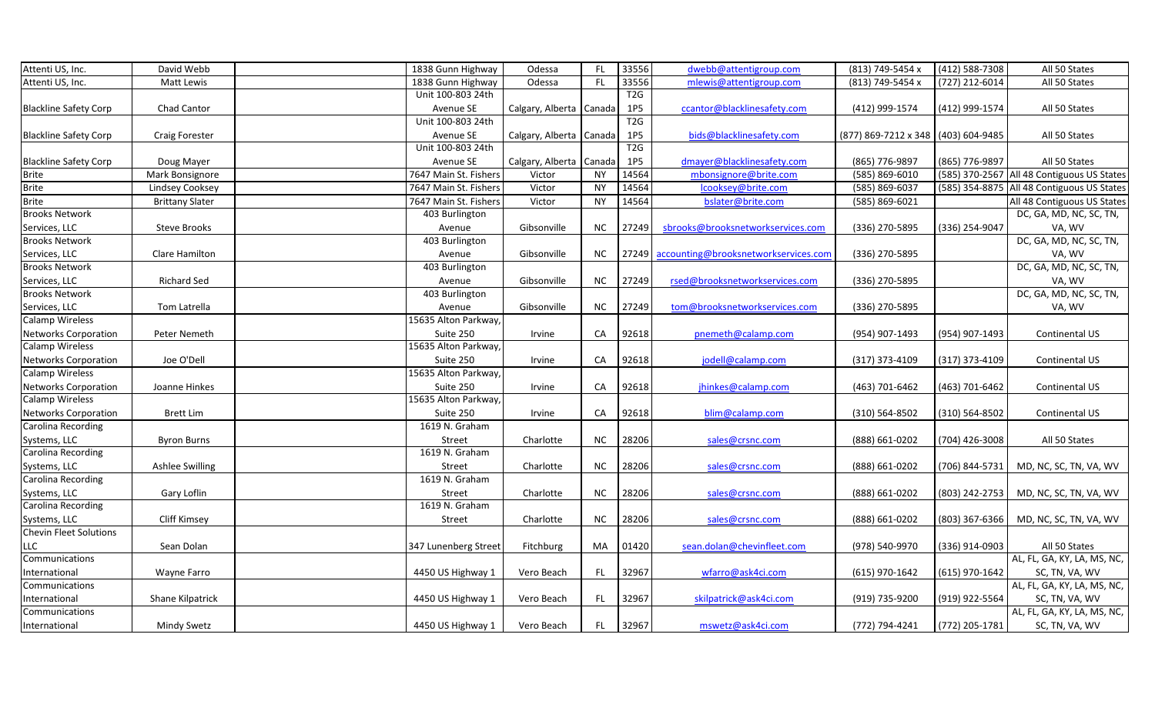| Attenti US, Inc.              | David Webb             | 1838 Gunn Highway     | Odessa                  | FL.       | 33556 | dwebb@attentigroup.com                     | (813) 749-5454 x                    | $(412) 588 - 7308$ | All 50 States                              |
|-------------------------------|------------------------|-----------------------|-------------------------|-----------|-------|--------------------------------------------|-------------------------------------|--------------------|--------------------------------------------|
| Attenti US, Inc.              | Matt Lewis             | 1838 Gunn Highway     | Odessa                  | FL        | 33556 | mlewis@attentigroup.com                    | (813) 749-5454 x                    | $(727)$ 212-6014   | All 50 States                              |
|                               |                        | Unit 100-803 24th     |                         |           | T2G   |                                            |                                     |                    |                                            |
| <b>Blackline Safety Corp</b>  | Chad Cantor            | Avenue SE             | Calgary, Alberta Canada |           | 1P5   | ccantor@blacklinesafety.com                | (412) 999-1574                      | (412) 999-1574     | All 50 States                              |
|                               |                        | Unit 100-803 24th     |                         |           | T2G   |                                            |                                     |                    |                                            |
| <b>Blackline Safety Corp</b>  | <b>Craig Forester</b>  | Avenue SE             | Calgary, Alberta Canada |           | 1P5   | bids@blacklinesafety.com                   | (877) 869-7212 x 348 (403) 604-9485 |                    | All 50 States                              |
|                               |                        | Unit 100-803 24th     |                         |           | T2G   |                                            |                                     |                    |                                            |
| <b>Blackline Safety Corp</b>  | Doug Mayer             | Avenue SE             | Calgary, Alberta Canada |           | 1P5   | dmayer@blacklinesafety.com                 | (865) 776-9897                      | (865) 776-9897     | All 50 States                              |
| <b>Brite</b>                  | Mark Bonsignore        | 7647 Main St. Fishers | Victor                  | <b>NY</b> | 14564 | mbonsignore@brite.com                      | $(585) 869 - 6010$                  |                    | (585) 370-2567 All 48 Contiguous US States |
| <b>Brite</b>                  | Lindsey Cooksey        | 7647 Main St. Fishers | Victor                  | <b>NY</b> | 14564 | lcooksey@brite.com                         | (585) 869-6037                      | (585) 354-8875     | All 48 Contiguous US States                |
| <b>Brite</b>                  | <b>Brittany Slater</b> | 7647 Main St. Fishers | Victor                  | <b>NY</b> | 14564 | bslater@brite.com                          | (585) 869-6021                      |                    | All 48 Contiguous US States                |
| <b>Brooks Network</b>         |                        | 403 Burlington        |                         |           |       |                                            |                                     |                    | DC, GA, MD, NC, SC, TN,                    |
| Services, LLC                 | <b>Steve Brooks</b>    | Avenue                | Gibsonville             | NC        | 27249 | sbrooks@brooksnetworkservices.com          | (336) 270-5895                      | (336) 254-9047     | VA, WV                                     |
| <b>Brooks Network</b>         |                        | 403 Burlington        |                         |           |       |                                            |                                     |                    | DC, GA, MD, NC, SC, TN,                    |
| Services, LLC                 | Clare Hamilton         | Avenue                | Gibsonville             | NC        |       | 27249 accounting@brooksnetworkservices.com | (336) 270-5895                      |                    | VA, WV                                     |
| <b>Brooks Network</b>         |                        | 403 Burlington        |                         |           |       |                                            |                                     |                    | DC, GA, MD, NC, SC, TN,                    |
| Services, LLC                 | <b>Richard Sed</b>     | Avenue                | Gibsonville             | <b>NC</b> | 27249 | rsed@brooksnetworkservices.com             | (336) 270-5895                      |                    | VA, WV                                     |
| <b>Brooks Network</b>         |                        | 403 Burlington        |                         |           |       |                                            |                                     |                    | DC, GA, MD, NC, SC, TN,                    |
| Services, LLC                 | Tom Latrella           | Avenue                | Gibsonville             | <b>NC</b> | 27249 | tom@brooksnetworkservices.com              | (336) 270-5895                      |                    | VA, WV                                     |
| <b>Calamp Wireless</b>        |                        | 15635 Alton Parkway,  |                         |           |       |                                            |                                     |                    |                                            |
| Networks Corporation          | Peter Nemeth           | Suite 250             | Irvine                  | CA        | 92618 | pnemeth@calamp.com                         | (954) 907-1493                      | (954) 907-1493     | Continental US                             |
| <b>Calamp Wireless</b>        |                        | 15635 Alton Parkway,  |                         |           |       |                                            |                                     |                    |                                            |
| <b>Networks Corporation</b>   | Joe O'Dell             | Suite 250             | Irvine                  | CA        | 92618 | jodell@calamp.com                          | $(317)$ 373-4109                    | (317) 373-4109     | Continental US                             |
| Calamp Wireless               |                        | 15635 Alton Parkway,  |                         |           |       |                                            |                                     |                    |                                            |
| <b>Networks Corporation</b>   | Joanne Hinkes          | Suite 250             | Irvine                  | CA        | 92618 | jhinkes@calamp.com                         | (463) 701-6462                      | (463) 701-6462     | Continental US                             |
| <b>Calamp Wireless</b>        |                        | 15635 Alton Parkway,  |                         |           |       |                                            |                                     |                    |                                            |
| Networks Corporation          | <b>Brett Lim</b>       | Suite 250             | Irvine                  | CA        | 92618 | blim@calamp.com                            | (310) 564-8502                      | (310) 564-8502     | Continental US                             |
| Carolina Recording            |                        | 1619 N. Graham        |                         |           |       |                                            |                                     |                    |                                            |
| Systems, LLC                  | <b>Byron Burns</b>     | Street                | Charlotte               | <b>NC</b> | 28206 | sales@crsnc.com                            | (888) 661-0202                      | (704) 426-3008     | All 50 States                              |
| Carolina Recording            |                        | 1619 N. Graham        |                         |           |       |                                            |                                     |                    |                                            |
| Systems, LLC                  | Ashlee Swilling        | Street                | Charlotte               | <b>NC</b> | 28206 | sales@crsnc.com                            | (888) 661-0202                      | (706) 844-5731     | MD, NC, SC, TN, VA, WV                     |
| Carolina Recording            |                        | 1619 N. Graham        |                         |           |       |                                            |                                     |                    |                                            |
| Systems, LLC                  | Gary Loflin            | Street                | Charlotte               | NC        | 28206 | sales@crsnc.com                            | (888) 661-0202                      | (803) 242-2753     | MD, NC, SC, TN, VA, WV                     |
| Carolina Recording            |                        | 1619 N. Graham        |                         |           |       |                                            |                                     |                    |                                            |
| Systems, LLC                  | <b>Cliff Kimsey</b>    | Street                | Charlotte               | NC        | 28206 | sales@crsnc.com                            | (888) 661-0202                      | (803) 367-6366     | MD, NC, SC, TN, VA, WV                     |
| <b>Chevin Fleet Solutions</b> |                        |                       |                         |           |       |                                            |                                     |                    |                                            |
| <b>LLC</b>                    | Sean Dolan             | 347 Lunenberg Street  | Fitchburg               | MA        | 01420 | sean.dolan@chevinfleet.com                 | (978) 540-9970                      | (336) 914-0903     | All 50 States                              |
| Communications                |                        |                       |                         |           |       |                                            |                                     |                    | AL, FL, GA, KY, LA, MS, NC,                |
| International                 | Wayne Farro            | 4450 US Highway 1     | Vero Beach              | FL.       | 32967 | wfarro@ask4ci.com                          | (615) 970-1642                      | (615) 970-1642     | SC, TN, VA, WV                             |
| Communications                |                        |                       |                         |           |       |                                            |                                     |                    | AL, FL, GA, KY, LA, MS, NC,                |
| International                 | Shane Kilpatrick       | 4450 US Highway 1     | Vero Beach              | FL.       | 32967 | skilpatrick@ask4ci.com                     | (919) 735-9200                      | (919) 922-5564     | SC, TN, VA, WV                             |
| Communications                |                        |                       |                         |           |       |                                            |                                     |                    | AL, FL, GA, KY, LA, MS, NC,                |
| International                 | <b>Mindy Swetz</b>     | 4450 US Highway 1     | Vero Beach              | FL.       | 32967 | mswetz@ask4ci.com                          | (772) 794-4241                      | (772) 205-1781     | SC, TN, VA, WV                             |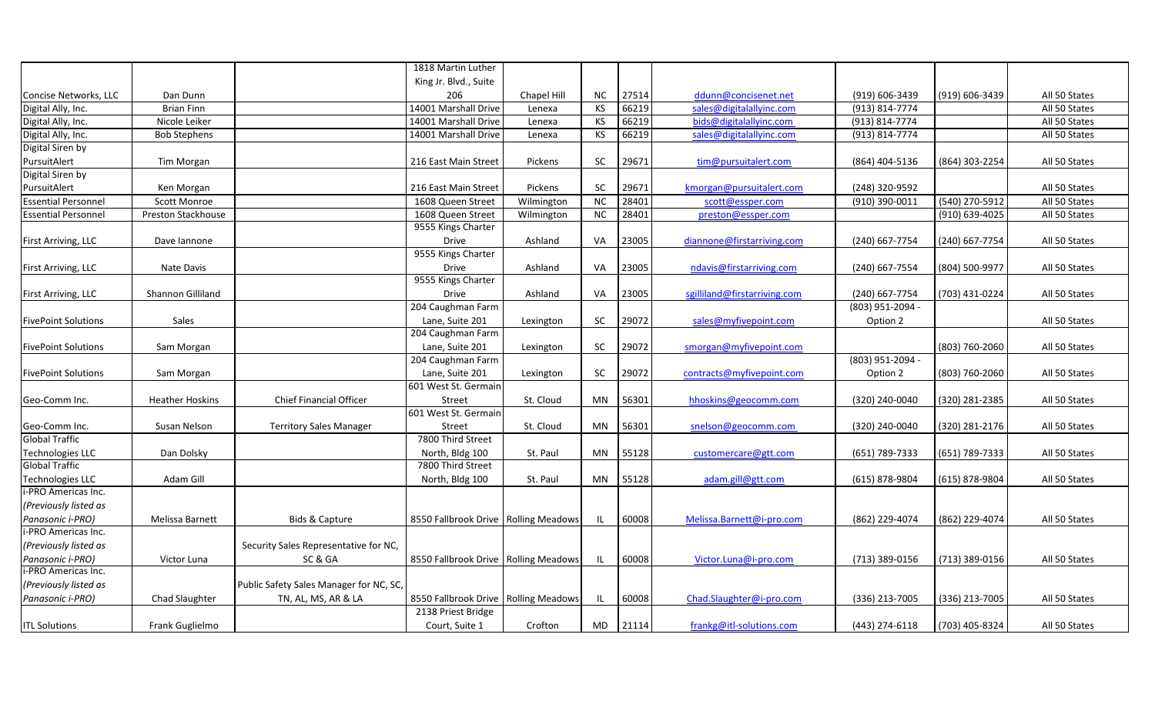|                            |                        |                                         | 1818 Martin Luther                   |             |           |       |                              |                    |                |               |
|----------------------------|------------------------|-----------------------------------------|--------------------------------------|-------------|-----------|-------|------------------------------|--------------------|----------------|---------------|
|                            |                        |                                         | King Jr. Blvd., Suite                |             |           |       |                              |                    |                |               |
| Concise Networks, LLC      | Dan Dunn               |                                         | 206                                  | Chapel Hill | NC.       | 27514 | ddunn@concisenet.net         | (919) 606-3439     | (919) 606-3439 | All 50 States |
| Digital Ally, Inc.         | <b>Brian Finn</b>      |                                         | 14001 Marshall Drive                 | Lenexa      | <b>KS</b> | 66219 | sales@digitalallyinc.com     | (913) 814-7774     |                | All 50 States |
| Digital Ally, Inc.         | Nicole Leiker          |                                         | 14001 Marshall Drive                 | Lenexa      | ΚS        | 66219 | bids@digitalallyinc.com      | (913) 814-7774     |                | All 50 States |
| Digital Ally, Inc.         | <b>Bob Stephens</b>    |                                         | 14001 Marshall Drive                 | Lenexa      | KS        | 66219 | sales@digitalallyinc.com     | $(913) 814 - 7774$ |                | All 50 States |
| Digital Siren by           |                        |                                         |                                      |             |           |       |                              |                    |                |               |
| PursuitAlert               | Tim Morgan             |                                         | 216 East Main Street                 | Pickens     | SC        | 29671 | tim@pursuitalert.com         | (864) 404-5136     | (864) 303-2254 | All 50 States |
| Digital Siren by           |                        |                                         |                                      |             |           |       |                              |                    |                |               |
| PursuitAlert               | Ken Morgan             |                                         | 216 East Main Street                 | Pickens     | <b>SC</b> | 29671 | kmorgan@pursuitalert.com     | (248) 320-9592     |                | All 50 States |
| <b>Essential Personnel</b> | <b>Scott Monroe</b>    |                                         | 1608 Queen Street                    | Wilmington  | <b>NC</b> | 28401 | scott@essper.com             | (910) 390-0011     | (540) 270-5912 | All 50 States |
| <b>Essential Personnel</b> | Preston Stackhouse     |                                         | 1608 Queen Street                    | Wilmington  | <b>NC</b> | 28401 | preston@essper.com           |                    | (910) 639-4025 | All 50 States |
|                            |                        |                                         | 9555 Kings Charter                   |             |           |       |                              |                    |                |               |
| First Arriving, LLC        | Dave lannone           |                                         | Drive                                | Ashland     | VA        | 23005 | diannone@firstarriving.com   | (240) 667-7754     | (240) 667-7754 | All 50 States |
|                            |                        |                                         | 9555 Kings Charter                   |             |           |       |                              |                    |                |               |
| First Arriving, LLC        | Nate Davis             |                                         | Drive                                | Ashland     | VA        | 23005 | ndavis@firstarriving.com     | (240) 667-7554     | (804) 500-9977 | All 50 States |
|                            |                        |                                         | 9555 Kings Charter                   |             |           |       |                              |                    |                |               |
| First Arriving, LLC        | Shannon Gilliland      |                                         | <b>Drive</b>                         | Ashland     | VA        | 23005 | sgilliland@firstarriving.com | (240) 667-7754     | (703) 431-0224 | All 50 States |
|                            |                        |                                         | 204 Caughman Farm                    |             |           |       |                              | (803) 951-2094 -   |                |               |
| <b>FivePoint Solutions</b> | Sales                  |                                         | Lane, Suite 201                      | Lexington   | SC        | 29072 | sales@myfivepoint.com        | Option 2           |                | All 50 States |
|                            |                        |                                         | 204 Caughman Farm                    |             |           |       |                              |                    |                |               |
| <b>FivePoint Solutions</b> | Sam Morgan             |                                         | Lane, Suite 201                      | Lexington   | SC        | 29072 | smorgan@myfivepoint.com      |                    | (803) 760-2060 | All 50 States |
|                            |                        |                                         | 204 Caughman Farm                    |             |           |       |                              | (803) 951-2094 -   |                |               |
| <b>FivePoint Solutions</b> | Sam Morgan             |                                         | Lane, Suite 201                      | Lexington   | SC        | 29072 | contracts@myfivepoint.com    | Option 2           | (803) 760-2060 | All 50 States |
|                            |                        |                                         | 601 West St. Germain                 |             |           |       |                              |                    |                |               |
| Geo-Comm Inc.              | <b>Heather Hoskins</b> | Chief Financial Officer                 | Street                               | St. Cloud   | MN        | 56301 | hhoskins@geocomm.com         | (320) 240-0040     | (320) 281-2385 | All 50 States |
|                            |                        |                                         | 601 West St. Germain                 |             |           |       |                              |                    |                |               |
| Geo-Comm Inc.              | Susan Nelson           | <b>Territory Sales Manager</b>          | Street                               | St. Cloud   | MN        | 56301 | snelson@geocomm.com          | (320) 240-0040     | (320) 281-2176 | All 50 States |
| <b>Global Traffic</b>      |                        |                                         | 7800 Third Street                    |             |           |       |                              |                    |                |               |
| <b>Technologies LLC</b>    | Dan Dolsky             |                                         | North, Bldg 100                      | St. Paul    | MN        | 55128 | customercare@gtt.com         | (651) 789-7333     | (651) 789-7333 | All 50 States |
| <b>Global Traffic</b>      |                        |                                         | 7800 Third Street                    |             |           |       |                              |                    |                |               |
| <b>Technologies LLC</b>    | Adam Gill              |                                         | North, Bldg 100                      | St. Paul    | MN        | 55128 | adam.gill@gtt.com            | (615) 878-9804     | (615) 878-9804 | All 50 States |
| i-PRO Americas Inc.        |                        |                                         |                                      |             |           |       |                              |                    |                |               |
| (Previously listed as      |                        |                                         |                                      |             |           |       |                              |                    |                |               |
| Panasonic i-PRO)           | Melissa Barnett        | Bids & Capture                          | 8550 Fallbrook Drive Rolling Meadows |             |           | 60008 | Melissa.Barnett@i-pro.com    | (862) 229-4074     | (862) 229-4074 | All 50 States |
| i-PRO Americas Inc.        |                        |                                         |                                      |             |           |       |                              |                    |                |               |
| (Previously listed as      |                        | Security Sales Representative for NC,   |                                      |             |           |       |                              |                    |                |               |
| Panasonic i-PRO)           | Victor Luna            | SC&GA                                   | 8550 Fallbrook Drive Rolling Meadows |             | IL.       | 60008 | Victor.Luna@i-pro.com        | (713) 389-0156     | (713) 389-0156 | All 50 States |
| i-PRO Americas Inc.        |                        |                                         |                                      |             |           |       |                              |                    |                |               |
| (Previously listed as      |                        | Public Safety Sales Manager for NC, SC, |                                      |             |           |       |                              |                    |                |               |
| Panasonic i-PRO)           | Chad Slaughter         | TN, AL, MS, AR & LA                     | 8550 Fallbrook Drive Rolling Meadows |             | IL.       | 60008 | Chad.Slaughter@i-pro.com     | (336) 213-7005     | (336) 213-7005 | All 50 States |
|                            |                        |                                         | 2138 Priest Bridge                   |             |           |       |                              |                    |                |               |
| <b>ITL Solutions</b>       | Frank Guglielmo        |                                         | Court, Suite 1                       | Crofton     | MD        | 21114 | frankg@itl-solutions.com     | (443) 274-6118     | (703) 405-8324 | All 50 States |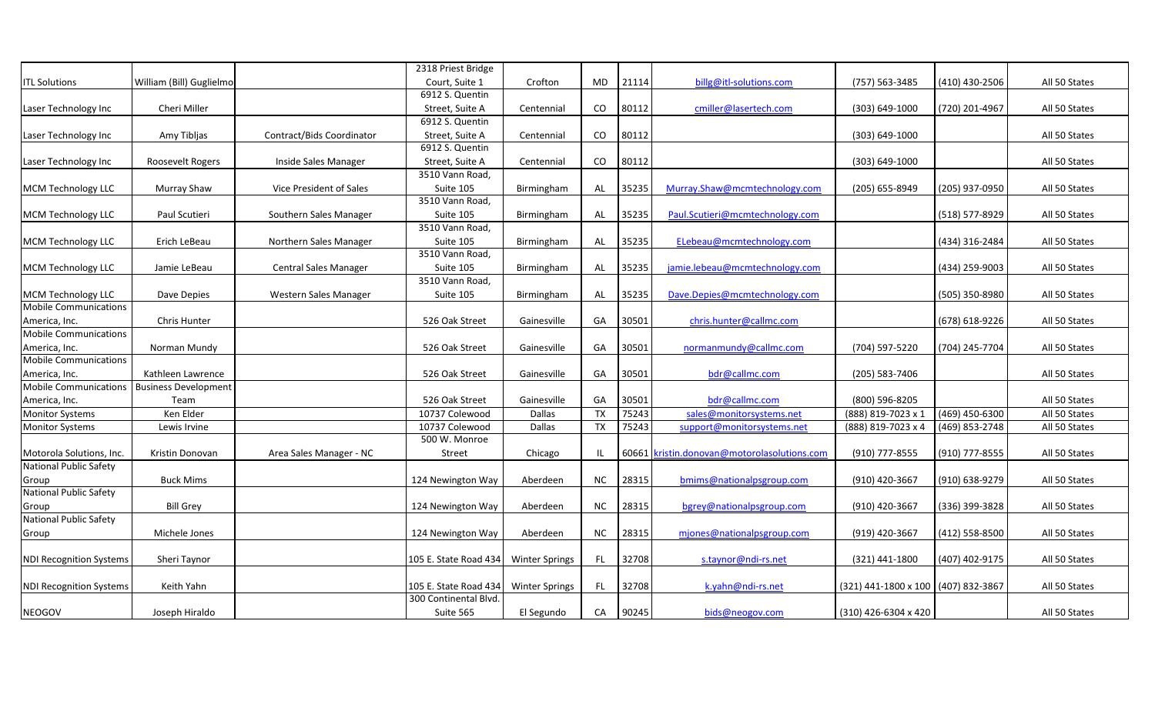|                                |                             |                              | 2318 Priest Bridge    |                       |           |       |                                             |                                     |                  |               |
|--------------------------------|-----------------------------|------------------------------|-----------------------|-----------------------|-----------|-------|---------------------------------------------|-------------------------------------|------------------|---------------|
| <b>ITL Solutions</b>           | William (Bill) Guglielmo    |                              | Court, Suite 1        | Crofton               | MD        | 21114 | billg@itl-solutions.com                     | (757) 563-3485                      | (410) 430-2506   | All 50 States |
|                                |                             |                              | 6912 S. Quentin       |                       |           |       |                                             |                                     |                  |               |
| Laser Technology Inc           | Cheri Miller                |                              | Street, Suite A       | Centennial            | CO        | 80112 | cmiller@lasertech.com                       | (303) 649-1000                      | (720) 201-4967   | All 50 States |
|                                |                             |                              | 6912 S. Quentin       |                       |           |       |                                             |                                     |                  |               |
| Laser Technology Inc           | Amy Tibljas                 | Contract/Bids Coordinator    | Street, Suite A       | Centennial            | CO        | 80112 |                                             | $(303) 649 - 1000$                  |                  | All 50 States |
|                                |                             |                              | 6912 S. Quentin       |                       |           |       |                                             |                                     |                  |               |
| Laser Technology Inc           | Roosevelt Rogers            | Inside Sales Manager         | Street, Suite A       | Centennial            | CO        | 80112 |                                             | $(303) 649 - 1000$                  |                  | All 50 States |
|                                |                             |                              | 3510 Vann Road,       |                       |           |       |                                             |                                     |                  |               |
| <b>MCM Technology LLC</b>      | Murray Shaw                 | Vice President of Sales      | Suite 105             | Birmingham            | AL        | 35235 | Murray.Shaw@mcmtechnology.com               | (205) 655-8949                      | (205) 937-0950   | All 50 States |
|                                |                             |                              | 3510 Vann Road,       |                       |           |       |                                             |                                     |                  |               |
| <b>MCM Technology LLC</b>      | Paul Scutieri               | Southern Sales Manager       | Suite 105             | Birmingham            | AL        | 35235 | Paul.Scutieri@mcmtechnology.com             |                                     | (518) 577-8929   | All 50 States |
|                                |                             |                              | 3510 Vann Road,       |                       |           |       |                                             |                                     |                  |               |
| MCM Technology LLC             | Erich LeBeau                | Northern Sales Manager       | Suite 105             | Birmingham            | AL        | 35235 | ELebeau@mcmtechnology.com                   |                                     | (434) 316-2484   | All 50 States |
|                                |                             |                              | 3510 Vann Road,       |                       |           |       |                                             |                                     |                  |               |
| <b>MCM Technology LLC</b>      | Jamie LeBeau                | <b>Central Sales Manager</b> | Suite 105             | Birmingham            | AL        | 35235 | jamie.lebeau@mcmtechnology.com              |                                     | (434) 259-9003   | All 50 States |
|                                |                             |                              | 3510 Vann Road,       |                       |           |       |                                             |                                     |                  |               |
| MCM Technology LLC             | Dave Depies                 | Western Sales Manager        | Suite 105             | Birmingham            | AL        | 35235 | Dave.Depies@mcmtechnology.com               |                                     | (505) 350-8980   | All 50 States |
| <b>Mobile Communications</b>   |                             |                              |                       |                       |           |       |                                             |                                     |                  |               |
| America, Inc.                  | Chris Hunter                |                              | 526 Oak Street        | Gainesville           | GA        | 30501 | chris.hunter@callmc.com                     |                                     | (678) 618-9226   | All 50 States |
| <b>Mobile Communications</b>   |                             |                              |                       |                       |           |       |                                             |                                     |                  |               |
| America, Inc.                  | Norman Mundy                |                              | 526 Oak Street        | Gainesville           | GA        | 30501 | normanmundy@callmc.com                      | (704) 597-5220                      | (704) 245-7704   | All 50 States |
| <b>Mobile Communications</b>   |                             |                              |                       |                       |           |       |                                             |                                     |                  |               |
| America, Inc.                  | Kathleen Lawrence           |                              | 526 Oak Street        | Gainesville           | GA        | 30501 | bdr@callmc.com                              | (205) 583-7406                      |                  | All 50 States |
| Mobile Communications          | <b>Business Development</b> |                              |                       |                       |           |       |                                             |                                     |                  |               |
| America, Inc.                  | Team                        |                              | 526 Oak Street        | Gainesville           | GA        | 30501 | bdr@callmc.com                              | (800) 596-8205                      |                  | All 50 States |
| <b>Monitor Systems</b>         | Ken Elder                   |                              | 10737 Colewood        | Dallas                | <b>TX</b> | 75243 | sales@monitorsystems.net                    | (888) 819-7023 x 1                  | $(469)$ 450-6300 | All 50 States |
| <b>Monitor Systems</b>         | Lewis Irvine                |                              | 10737 Colewood        | Dallas                | <b>TX</b> | 75243 | support@monitorsystems.net                  | (888) 819-7023 x 4                  | (469) 853-2748   | All 50 States |
|                                |                             |                              | 500 W. Monroe         |                       |           |       |                                             |                                     |                  |               |
| Motorola Solutions, Inc.       | Kristin Donovan             | Area Sales Manager - NC      | Street                | Chicago               |           |       | 60661 kristin.donovan@motorolasolutions.com | (910) 777-8555                      | (910) 777-8555   | All 50 States |
| National Public Safety         |                             |                              |                       |                       |           |       |                                             |                                     |                  |               |
| Group                          | <b>Buck Mims</b>            |                              | 124 Newington Way     | Aberdeen              | NC        | 28315 | bmims@nationalpsgroup.com                   | (910) 420-3667                      | (910) 638-9279   | All 50 States |
| <b>National Public Safety</b>  |                             |                              |                       |                       |           |       |                                             |                                     |                  |               |
| Group                          | <b>Bill Grey</b>            |                              | 124 Newington Way     | Aberdeen              | <b>NC</b> | 28315 | bgrey@nationalpsgroup.com                   | (910) 420-3667                      | (336) 399-3828   | All 50 States |
| <b>National Public Safety</b>  |                             |                              |                       |                       |           |       |                                             |                                     |                  |               |
| Group                          | Michele Jones               |                              | 124 Newington Way     | Aberdeen              | NC        | 28315 | mjones@nationalpsgroup.com                  | (919) 420-3667                      | (412) 558-8500   | All 50 States |
|                                |                             |                              |                       |                       |           |       |                                             |                                     |                  |               |
| <b>NDI Recognition Systems</b> | Sheri Taynor                |                              | 105 E. State Road 434 | <b>Winter Springs</b> | FL.       | 32708 | s.taynor@ndi-rs.net                         | (321) 441-1800                      | (407) 402-9175   | All 50 States |
|                                |                             |                              |                       |                       |           |       |                                             |                                     |                  |               |
| <b>NDI Recognition Systems</b> | Keith Yahn                  |                              | 105 E. State Road 434 | <b>Winter Springs</b> | FL.       | 32708 | k.yahn@ndi-rs.net                           | (321) 441-1800 x 100 (407) 832-3867 |                  | All 50 States |
|                                |                             |                              | 300 Continental Blvd. |                       |           |       |                                             |                                     |                  |               |
| NEOGOV                         | Joseph Hiraldo              |                              | Suite 565             | El Segundo            | CA        | 90245 | bids@neogov.com                             | (310) 426-6304 x 420                |                  | All 50 States |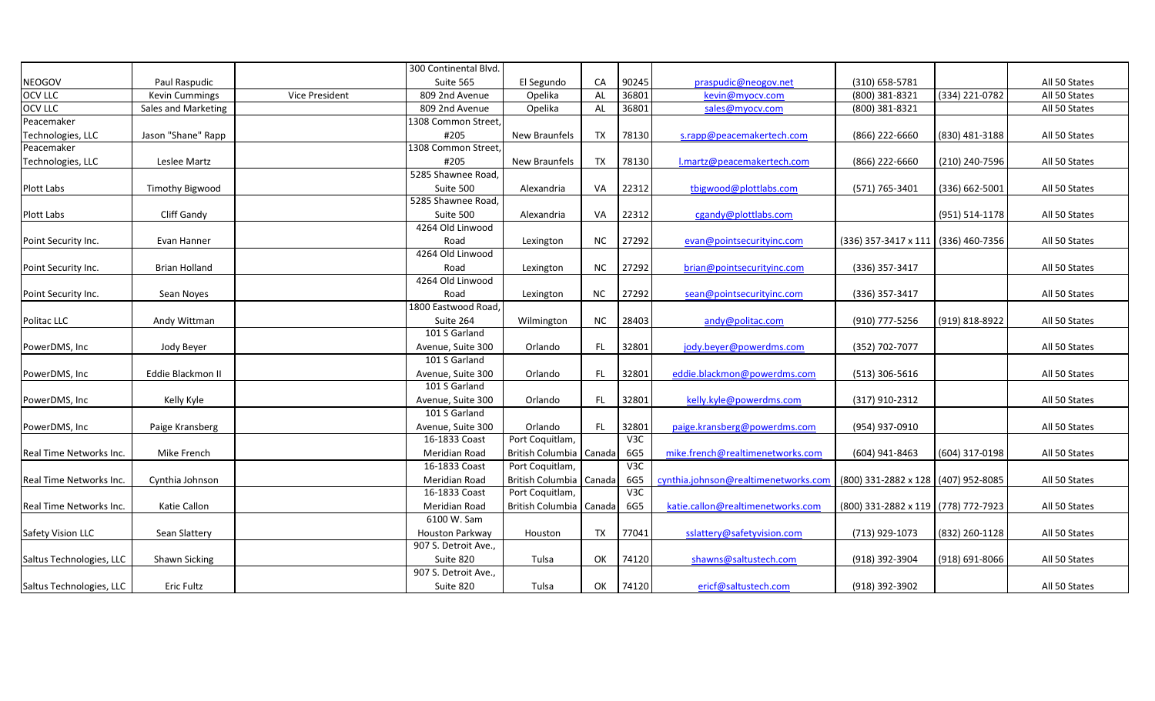|                          |                       |                | 300 Continental Blvd. |                           |           |                  |                                      |                                     |                |               |
|--------------------------|-----------------------|----------------|-----------------------|---------------------------|-----------|------------------|--------------------------------------|-------------------------------------|----------------|---------------|
| <b>NEOGOV</b>            | Paul Raspudic         |                | Suite 565             | El Segundo                | CA        | 90245            | praspudic@neogov.net                 | (310) 658-5781                      |                | All 50 States |
| <b>OCV LLC</b>           | <b>Kevin Cummings</b> | Vice President | 809 2nd Avenue        | Opelika                   | AL        | 36801            | kevin@myocv.com                      | (800) 381-8321                      | (334) 221-0782 | All 50 States |
| OCV LLC                  | Sales and Marketing   |                | 809 2nd Avenue        | Opelika                   | AL        | 36801            | sales@myocv.com                      | (800) 381-8321                      |                | All 50 States |
| Peacemaker               |                       |                | 1308 Common Street,   |                           |           |                  |                                      |                                     |                |               |
| Technologies, LLC        | Jason "Shane" Rapp    |                | #205                  | New Braunfels             | TX        | 78130            | s.rapp@peacemakertech.com            | (866) 222-6660                      | (830) 481-3188 | All 50 States |
| Peacemaker               |                       |                | 1308 Common Street,   |                           |           |                  |                                      |                                     |                |               |
| Technologies, LLC        | Leslee Martz          |                | #205                  | New Braunfels             | TX        | 78130            | I.martz@peacemakertech.com           | (866) 222-6660                      | (210) 240-7596 | All 50 States |
|                          |                       |                | 5285 Shawnee Road,    |                           |           |                  |                                      |                                     |                |               |
| Plott Labs               | Timothy Bigwood       |                | Suite 500             | Alexandria                | VA        | 22312            | tbigwood@plottlabs.com               | (571) 765-3401                      | (336) 662-5001 | All 50 States |
|                          |                       |                | 5285 Shawnee Road,    |                           |           |                  |                                      |                                     |                |               |
| Plott Labs               | Cliff Gandy           |                | Suite 500             | Alexandria                | VA        | 22312            | cgandy@plottlabs.com                 |                                     | (951) 514-1178 | All 50 States |
|                          |                       |                | 4264 Old Linwood      |                           |           |                  |                                      |                                     |                |               |
| Point Security Inc.      | Evan Hanner           |                | Road                  | Lexington                 | NC.       | 27292            | evan@pointsecurityinc.com            | (336) 357-3417 x 111 (336) 460-7356 |                | All 50 States |
|                          |                       |                | 4264 Old Linwood      |                           |           |                  |                                      |                                     |                |               |
| Point Security Inc.      | Brian Holland         |                | Road                  | Lexington                 | NC.       | 27292            | brian@pointsecurityinc.com           | (336) 357-3417                      |                | All 50 States |
|                          |                       |                | 4264 Old Linwood      |                           |           |                  |                                      |                                     |                |               |
| Point Security Inc.      | Sean Noyes            |                | Road                  | Lexington                 | <b>NC</b> | 27292            | sean@pointsecurityinc.com            | (336) 357-3417                      |                | All 50 States |
|                          |                       |                | 1800 Eastwood Road,   |                           |           |                  |                                      |                                     |                |               |
| Politac LLC              | Andy Wittman          |                | Suite 264             | Wilmington                | NC.       | 28403            | andy@politac.com                     | (910) 777-5256                      | (919) 818-8922 | All 50 States |
|                          |                       |                | 101 S Garland         |                           |           |                  |                                      |                                     |                |               |
| PowerDMS, Inc            | Jody Beyer            |                | Avenue, Suite 300     | Orlando                   | FL.       | 32801            | jody.beyer@powerdms.com              | (352) 702-7077                      |                | All 50 States |
|                          |                       |                | 101 S Garland         |                           |           |                  |                                      |                                     |                |               |
| PowerDMS, Inc            | Eddie Blackmon II     |                | Avenue, Suite 300     | Orlando                   | FL        | 32801            | eddie.blackmon@powerdms.com          | $(513)$ 306-5616                    |                | All 50 States |
|                          |                       |                | 101 S Garland         |                           |           |                  |                                      |                                     |                |               |
| PowerDMS, Inc            | Kelly Kyle            |                | Avenue, Suite 300     | Orlando                   | FL.       | 32801            | kelly.kyle@powerdms.com              | (317) 910-2312                      |                | All 50 States |
|                          |                       |                | 101 S Garland         |                           |           |                  |                                      |                                     |                |               |
| PowerDMS, Inc            | Paige Kransberg       |                | Avenue, Suite 300     | Orlando                   | FL.       | 32801            | paige.kransberg@powerdms.com         | (954) 937-0910                      |                | All 50 States |
|                          |                       |                | 16-1833 Coast         | Port Coquitlam,           |           | V <sub>3</sub> C |                                      |                                     |                |               |
| Real Time Networks Inc.  | Mike French           |                | Meridian Road         | British Columbia   Canada |           | 6G5              | mike.french@realtimenetworks.com     | (604) 941-8463                      | (604) 317-0198 | All 50 States |
|                          |                       |                | 16-1833 Coast         | Port Coquitlam,           |           | V <sub>3</sub> C |                                      |                                     |                |               |
| Real Time Networks Inc.  | Cynthia Johnson       |                | Meridian Road         | British Columbia Canada   |           | 6G5              | cynthia.johnson@realtimenetworks.com | (800) 331-2882 x 128 (407) 952-8085 |                | All 50 States |
|                          |                       |                | 16-1833 Coast         | Port Coquitlam,           |           | V <sub>3</sub> C |                                      |                                     |                |               |
| Real Time Networks Inc.  | Katie Callon          |                | Meridian Road         | British Columbia   Canada |           | 6G5              | katie.callon@realtimenetworks.com    | (800) 331-2882 x 119 (778) 772-7923 |                | All 50 States |
|                          |                       |                | 6100 W. Sam           |                           |           |                  |                                      |                                     |                |               |
| Safety Vision LLC        | Sean Slattery         |                | Houston Parkway       | Houston                   | TX        | 77041            | sslattery@safetyvision.com           | (713) 929-1073                      | (832) 260-1128 | All 50 States |
|                          |                       |                | 907 S. Detroit Ave.,  |                           |           |                  |                                      |                                     |                |               |
| Saltus Technologies, LLC | Shawn Sicking         |                | Suite 820             | Tulsa                     | OK        | 74120            | shawns@saltustech.com                | (918) 392-3904                      | (918) 691-8066 | All 50 States |
|                          |                       |                | 907 S. Detroit Ave.,  |                           |           |                  |                                      |                                     |                |               |
| Saltus Technologies, LLC | Eric Fultz            |                | Suite 820             | Tulsa                     | OK        | 74120            | ericf@saltustech.com                 | (918) 392-3902                      |                | All 50 States |